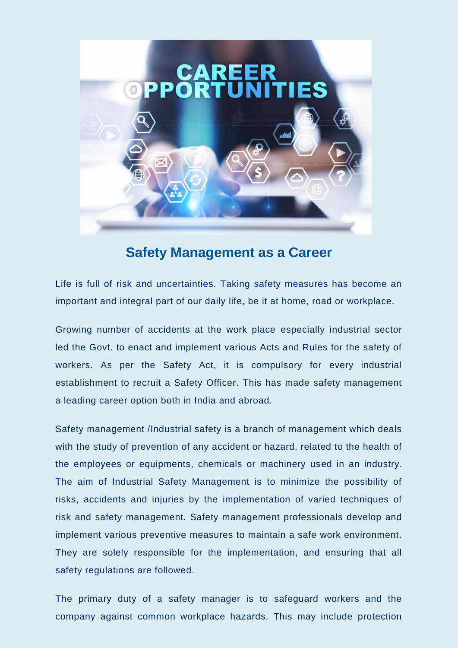

## **Safety Management as a Career**

Life is full of risk and uncertainties. Taking safety measures has become an important and integral part of our daily life, be it at home, road or workplace.

Growing number of accidents at the work place especially industrial sector led the Govt. to enact and implement various Acts and Rules for the safety of workers. As per the Safety Act, it is compulsory for every industrial establishment to recruit a Safety Officer. This has made safety management a leading career option both in India and abroad.

Safety management /Industrial safety is a branch of management which deals with the study of prevention of any accident or hazard, related to the health of the employees or equipments, chemicals or machinery used in an industry. The aim of Industrial Safety Management is to minimize the possibility of risks, accidents and injuries by the implementation of varied techniques of risk and safety management. Safety management professionals develop and implement various preventive measures to maintain a safe work environment. They are solely responsible for the implementation, and ensuring that all safety regulations are followed.

The primary duty of a safety manager is to safeguard workers and the company against common workplace hazards. This may include protection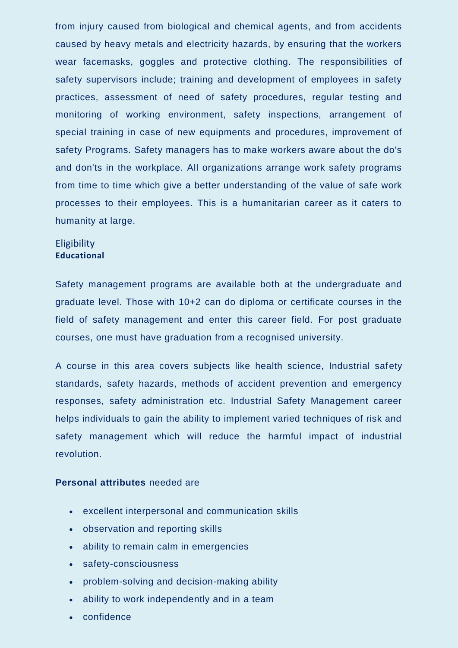from injury caused from biological and chemical agents, and from accidents caused by heavy metals and electricity hazards, by ensuring that the workers wear facemasks, goggles and protective clothing. The responsibilities of safety supervisors include; training and development of employees in safety practices, assessment of need of safety procedures, regular testing and monitoring of working environment, safety inspections, arrangement of special training in case of new equipments and procedures, improvement of safety Programs. Safety managers has to make workers aware about the do's and don'ts in the workplace. All organizations arrange work safety programs from time to time which give a better understanding of the value of safe work processes to their employees. This is a humanitarian career as it caters to humanity at large.

## **Eligibility Educational**

Safety management programs are available both at the undergraduate and graduate level. Those with 10+2 can do diploma or certificate courses in the field of safety management and enter this career field. For post graduate courses, one must have graduation from a recognised university.

A course in this area covers subjects like health science, Industrial safety standards, safety hazards, methods of accident prevention and emergency responses, safety administration etc. Industrial Safety Management career helps individuals to gain the ability to implement varied techniques of risk and safety management which will reduce the harmful impact of industrial revolution.

## **Personal attributes** needed are

- excellent interpersonal and communication skills
- observation and reporting skills
- ability to remain calm in emergencies
- safety-consciousness
- problem-solving and decision-making ability
- ability to work independently and in a team
- confidence